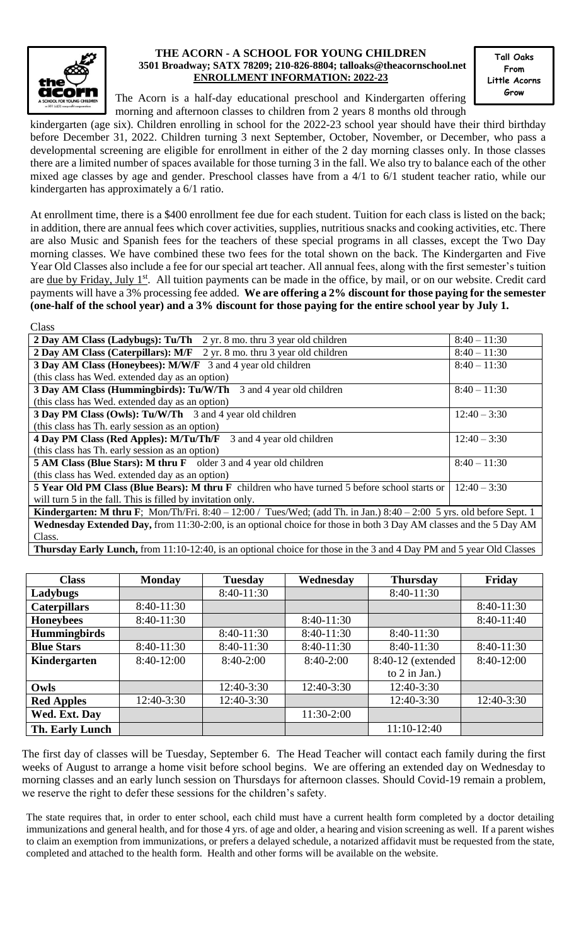

## **THE ACORN - A SCHOOL FOR YOUNG CHILDREN 3501 Broadway; SATX 78209; 210-826-8804; talloaks@theacornschool.net ENROLLMENT INFORMATION: 2022-23**

**Tall Oaks From Little Acorns Grow**

The Acorn is a half-day educational preschool and Kindergarten offering morning and afternoon classes to children from 2 years 8 months old through

kindergarten (age six). Children enrolling in school for the 2022-23 school year should have their third birthday before December 31, 2022. Children turning 3 next September, October, November, or December, who pass a developmental screening are eligible for enrollment in either of the 2 day morning classes only. In those classes there are a limited number of spaces available for those turning 3 in the fall. We also try to balance each of the other mixed age classes by age and gender. Preschool classes have from a 4/1 to 6/1 student teacher ratio, while our kindergarten has approximately a 6/1 ratio.

At enrollment time, there is a \$400 enrollment fee due for each student. Tuition for each class is listed on the back; in addition, there are annual fees which cover activities, supplies, nutritious snacks and cooking activities, etc. There are also Music and Spanish fees for the teachers of these special programs in all classes, except the Two Day morning classes. We have combined these two fees for the total shown on the back. The Kindergarten and Five Year Old Classes also include a fee for our special art teacher. All annual fees, along with the first semester's tuition are due by Friday, July 1<sup>st</sup>. All tuition payments can be made in the office, by mail, or on our website. Credit card payments will have a 3% processing fee added. **We are offering a 2% discount for those paying for the semester (one-half of the school year) and a 3% discount for those paying for the entire school year by July 1.** 

| Class                                                                                                                        |                |  |  |  |  |
|------------------------------------------------------------------------------------------------------------------------------|----------------|--|--|--|--|
| 2 Day AM Class (Ladybugs): Tu/Th 2 yr. 8 mo. thru 3 year old children                                                        | $8:40 - 11:30$ |  |  |  |  |
| 2 Day AM Class (Caterpillars): $M/F$ 2 yr. 8 mo. thru 3 year old children                                                    | $8:40 - 11:30$ |  |  |  |  |
| 3 Day AM Class (Honeybees): M/W/F 3 and 4 year old children                                                                  | $8:40 - 11:30$ |  |  |  |  |
| (this class has Wed. extended day as an option)                                                                              |                |  |  |  |  |
| 3 Day AM Class (Hummingbirds): Tu/W/Th 3 and 4 year old children                                                             | $8:40 - 11:30$ |  |  |  |  |
| (this class has Wed. extended day as an option)                                                                              |                |  |  |  |  |
| 3 Day PM Class (Owls): Tu/W/Th 3 and 4 year old children                                                                     | $12:40 - 3:30$ |  |  |  |  |
| (this class has Th. early session as an option)                                                                              |                |  |  |  |  |
| 4 Day PM Class (Red Apples): M/Tu/Th/F 3 and 4 year old children                                                             | $12:40 - 3:30$ |  |  |  |  |
| (this class has Th. early session as an option)                                                                              |                |  |  |  |  |
| <b>5 AM Class (Blue Stars): M thru F</b> older 3 and 4 year old children                                                     | $8:40 - 11:30$ |  |  |  |  |
| (this class has Wed. extended day as an option)                                                                              |                |  |  |  |  |
| 5 Year Old PM Class (Blue Bears): M thru F children who have turned 5 before school starts or                                | $12:40 - 3:30$ |  |  |  |  |
| will turn 5 in the fall. This is filled by invitation only.                                                                  |                |  |  |  |  |
| <b>Kindergarten: M thru F</b> ; Mon/Th/Fri. 8:40 – 12:00 / Tues/Wed; (add Th. in Jan.) 8:40 – 2:00 5 yrs. old before Sept. 1 |                |  |  |  |  |
| Wednesday Extended Day, from 11:30-2:00, is an optional choice for those in both 3 Day AM classes and the 5 Day AM           |                |  |  |  |  |
| Class.                                                                                                                       |                |  |  |  |  |
| <b>Thursday Early Lunch,</b> from 11:10-12:40, is an optional choice for those in the 3 and 4 Day PM and 5 year Old Classes  |                |  |  |  |  |

| <b>Class</b>        | <b>Monday</b> | <b>Tuesday</b> | Wednesday   | <b>Thursday</b>   | Friday       |
|---------------------|---------------|----------------|-------------|-------------------|--------------|
| Ladybugs            |               | $8:40-11:30$   |             | 8:40-11:30        |              |
| <b>Caterpillars</b> | $8:40-11:30$  |                |             |                   | 8:40-11:30   |
| <b>Honeybees</b>    | $8:40-11:30$  |                | 8:40-11:30  |                   | $8:40-11:40$ |
| <b>Hummingbirds</b> |               | $8:40-11:30$   | 8:40-11:30  | $8:40-11:30$      |              |
| <b>Blue Stars</b>   | 8:40-11:30    | $8:40-11:30$   | 8:40-11:30  | 8:40-11:30        | 8:40-11:30   |
| Kindergarten        | $8:40-12:00$  | $8:40-2:00$    | $8:40-2:00$ | 8:40-12 (extended | 8:40-12:00   |
|                     |               |                |             | to $2$ in Jan.)   |              |
| Owls                |               | 12:40-3:30     | 12:40-3:30  | 12:40-3:30        |              |
| <b>Red Apples</b>   | 12:40-3:30    | 12:40-3:30     |             | 12:40-3:30        | $12:40-3:30$ |
| Wed. Ext. Day       |               |                | 11:30-2:00  |                   |              |
| Th. Early Lunch     |               |                |             | 11:10-12:40       |              |

The first day of classes will be Tuesday, September 6. The Head Teacher will contact each family during the first weeks of August to arrange a home visit before school begins. We are offering an extended day on Wednesday to morning classes and an early lunch session on Thursdays for afternoon classes. Should Covid-19 remain a problem, we reserve the right to defer these sessions for the children's safety.

The state requires that, in order to enter school, each child must have a current health form completed by a doctor detailing immunizations and general health, and for those 4 yrs. of age and older, a hearing and vision screening as well. If a parent wishes to claim an exemption from immunizations, or prefers a delayed schedule, a notarized affidavit must be requested from the state, completed and attached to the health form. Health and other forms will be available on the website.